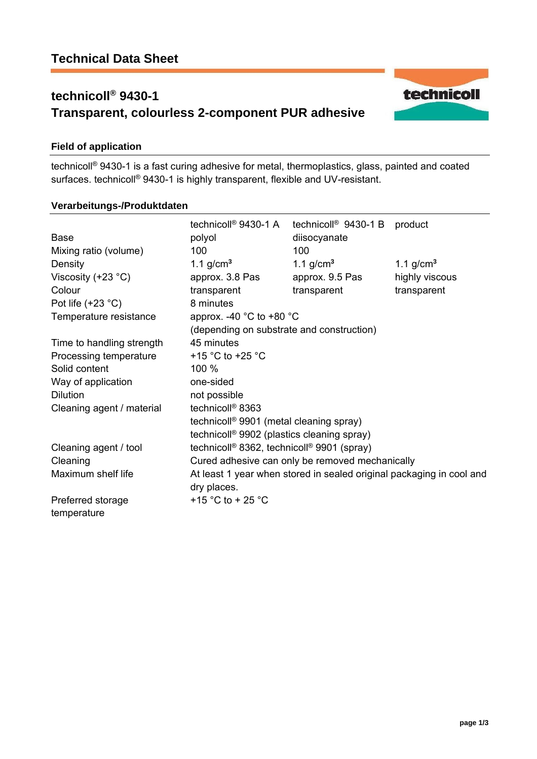# **technicoll® 9430-1 Transparent, colourless 2-component PUR adhesive**



### **Field of application**

technicoll® 9430-1 is a fast curing adhesive for metal, thermoplastics, glass, painted and coated surfaces. technicoll<sup>®</sup> 9430-1 is highly transparent, flexible and UV-resistant.

#### **Verarbeitungs-/Produktdaten**

|                           | technicoll <sup>®</sup> 9430-1 A                                                          | technicoll <sup>®</sup> 9430-1 B | product        |
|---------------------------|-------------------------------------------------------------------------------------------|----------------------------------|----------------|
| <b>Base</b>               | polyol                                                                                    | diisocyanate                     |                |
| Mixing ratio (volume)     | 100                                                                                       | 100                              |                |
| Density                   | 1.1 g/cm <sup>3</sup>                                                                     | 1.1 $g/cm3$                      | 1.1 $g/cm3$    |
| Viscosity $(+23 °C)$      | approx. 3.8 Pas                                                                           | approx. 9.5 Pas                  | highly viscous |
| Colour                    | transparent                                                                               | transparent                      | transparent    |
| Pot life $(+23 °C)$       | 8 minutes                                                                                 |                                  |                |
| Temperature resistance    | approx. -40 $^{\circ}$ C to +80 $^{\circ}$ C<br>(depending on substrate and construction) |                                  |                |
|                           |                                                                                           |                                  |                |
| Time to handling strength | 45 minutes                                                                                |                                  |                |
| Processing temperature    | +15 $\degree$ C to +25 $\degree$ C                                                        |                                  |                |
| Solid content             | 100 %                                                                                     |                                  |                |
| Way of application        | one-sided                                                                                 |                                  |                |
| <b>Dilution</b>           | not possible                                                                              |                                  |                |
| Cleaning agent / material | technicoll <sup>®</sup> 8363                                                              |                                  |                |
|                           | technicoll <sup>®</sup> 9901 (metal cleaning spray)                                       |                                  |                |
|                           | technicoll <sup>®</sup> 9902 (plastics cleaning spray)                                    |                                  |                |
| Cleaning agent / tool     | technicoll® 8362, technicoll® 9901 (spray)                                                |                                  |                |
| Cleaning                  | Cured adhesive can only be removed mechanically                                           |                                  |                |
| Maximum shelf life        | At least 1 year when stored in sealed original packaging in cool and<br>dry places.       |                                  |                |
| Preferred storage         | +15 °C to + 25 °C                                                                         |                                  |                |
| temperature               |                                                                                           |                                  |                |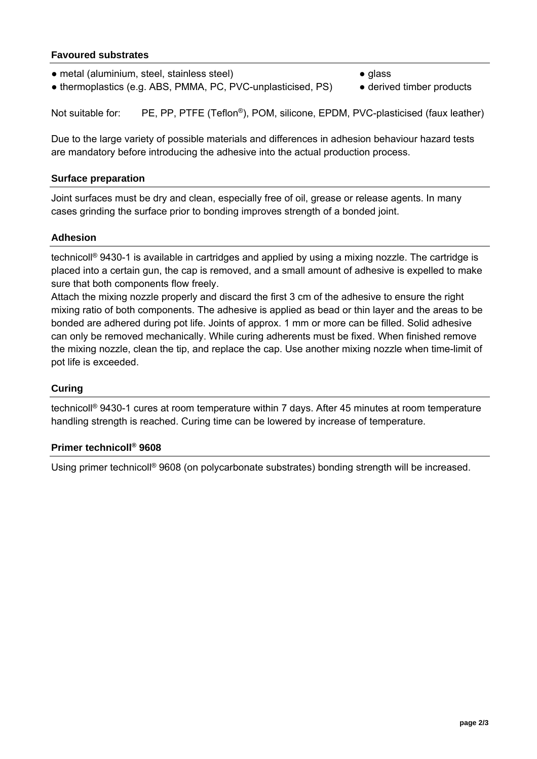### **Favoured substrates**

- metal (aluminium, steel, stainless steel) glass
- thermoplastics (e.g. ABS, PMMA, PC, PVC-unplasticised, PS) derived timber products

Not suitable for: PE, PP, PTFE (Teflon<sup>®</sup>), POM, silicone, EPDM, PVC-plasticised (faux leather)

Due to the large variety of possible materials and differences in adhesion behaviour hazard tests are mandatory before introducing the adhesive into the actual production process.

#### **Surface preparation**

Joint surfaces must be dry and clean, especially free of oil, grease or release agents. In many cases grinding the surface prior to bonding improves strength of a bonded joint.

#### **Adhesion**

technicoll® 9430-1 is available in cartridges and applied by using a mixing nozzle. The cartridge is placed into a certain gun, the cap is removed, and a small amount of adhesive is expelled to make sure that both components flow freely.

Attach the mixing nozzle properly and discard the first 3 cm of the adhesive to ensure the right mixing ratio of both components. The adhesive is applied as bead or thin layer and the areas to be bonded are adhered during pot life. Joints of approx. 1 mm or more can be filled. Solid adhesive can only be removed mechanically. While curing adherents must be fixed. When finished remove the mixing nozzle, clean the tip, and replace the cap. Use another mixing nozzle when time-limit of pot life is exceeded.

#### **Curing**

technicoll® 9430-1 cures at room temperature within 7 days. After 45 minutes at room temperature handling strength is reached. Curing time can be lowered by increase of temperature.

#### **Primer technicoll® 9608**

Using primer technicoll® 9608 (on polycarbonate substrates) bonding strength will be increased.